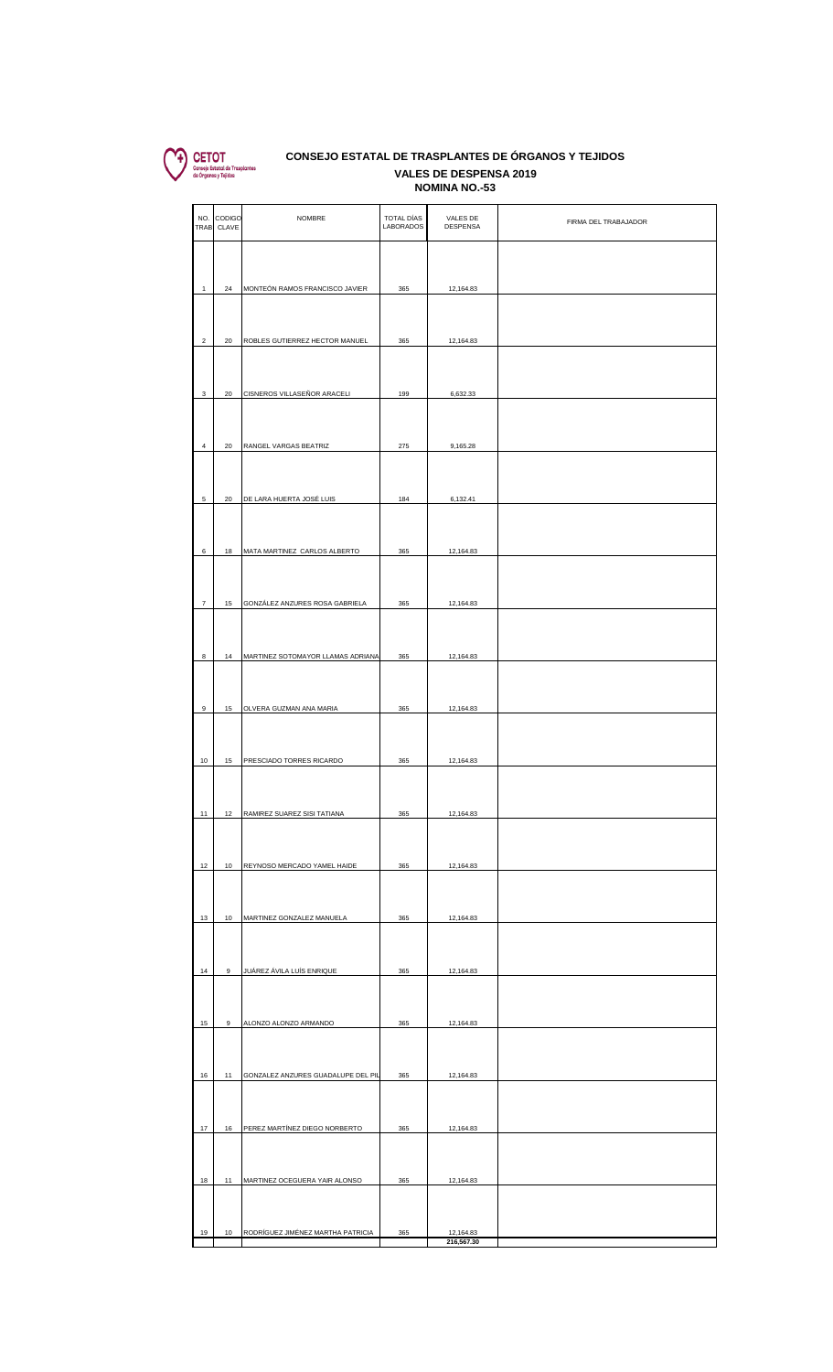

## **VALES DE DESPENSA 2019** VALES DE DESPENSA 2019<br>NOMINA NO.-53 **CONSEJO ESTATAL DE TRASPLANTES DE ÓRGANOS Y TEJIDOS**

|                  | NO. CODIGO<br>TRAB CLAVE | <b>NOMBRE</b>                      | TOTAL DÍAS<br><b>LABORADOS</b> | VALES DE<br><b>DESPENSA</b> | FIRMA DEL TRABAJADOR |
|------------------|--------------------------|------------------------------------|--------------------------------|-----------------------------|----------------------|
|                  |                          |                                    |                                |                             |                      |
| $\mathbf{1}$     | 24                       | MONTEÓN RAMOS FRANCISCO JAVIER     | 365                            | 12,164.83                   |                      |
|                  |                          |                                    |                                |                             |                      |
| $\sqrt{2}$       | 20                       | ROBLES GUTIERREZ HECTOR MANUEL     | 365                            | 12,164.83                   |                      |
|                  |                          |                                    |                                |                             |                      |
| $\mathsf 3$      | 20                       | CISNEROS VILLASEÑOR ARACELI        | 199                            | 6,632.33                    |                      |
| $\overline{4}$   | 20                       | RANGEL VARGAS BEATRIZ              | 275                            | 9,165.28                    |                      |
|                  |                          |                                    |                                |                             |                      |
| 5                | 20                       | DE LARA HUERTA JOSÉ LUIS           | 184                            | 6,132.41                    |                      |
|                  |                          |                                    |                                |                             |                      |
| 6                | 18                       | MATA MARTINEZ CARLOS ALBERTO       | 365                            | 12,164.83                   |                      |
|                  |                          |                                    |                                |                             |                      |
| $\boldsymbol{7}$ | 15                       | GONZÁLEZ ANZURES ROSA GABRIELA     | 365                            | 12,164.83                   |                      |
| 8                | 14                       | MARTINEZ SOTOMAYOR LLAMAS ADRIANA  | 365                            | 12,164.83                   |                      |
|                  |                          |                                    |                                |                             |                      |
| $\mathsf g$      | 15                       | OLVERA GUZMAN ANA MARIA            | 365                            | 12,164.83                   |                      |
|                  |                          |                                    |                                |                             |                      |
| $10\,$           | 15                       | PRESCIADO TORRES RICARDO           | 365                            | 12,164.83                   |                      |
| 11               | 12                       | RAMIREZ SUAREZ SISI TATIANA        | 365                            | 12,164.83                   |                      |
|                  |                          |                                    |                                |                             |                      |
| 12               | 10                       | REYNOSO MERCADO YAMEL HAIDE        | 365                            | 12,164.83                   |                      |
|                  |                          |                                    |                                |                             |                      |
| 13               | 10                       | MARTINEZ GONZALEZ MANUELA          | 365                            | 12,164.83                   |                      |
|                  |                          |                                    |                                |                             |                      |
| 14               | 9                        | JUÁREZ ÁVILA LUÍS ENRIQUE          | 365                            | 12,164.83                   |                      |
| 15               | 9                        | ALONZO ALONZO ARMANDO              | 365                            | 12,164.83                   |                      |
|                  |                          |                                    |                                |                             |                      |
| 16               | 11                       | GONZALEZ ANZURES GUADALUPE DEL PIL | 365                            | 12,164.83                   |                      |
|                  |                          |                                    |                                |                             |                      |
| 17               | 16                       | PEREZ MARTÍNEZ DIEGO NORBERTO      | 365                            | 12,164.83                   |                      |
| 18               | 11                       | MARTINEZ OCEGUERA YAIR ALONSO      | 365                            | 12,164.83                   |                      |
|                  |                          |                                    |                                |                             |                      |
| 19               | 10                       | RODRÍGUEZ JIMÉNEZ MARTHA PATRICIA  | 365                            | 12,164.83<br>216,567.30     |                      |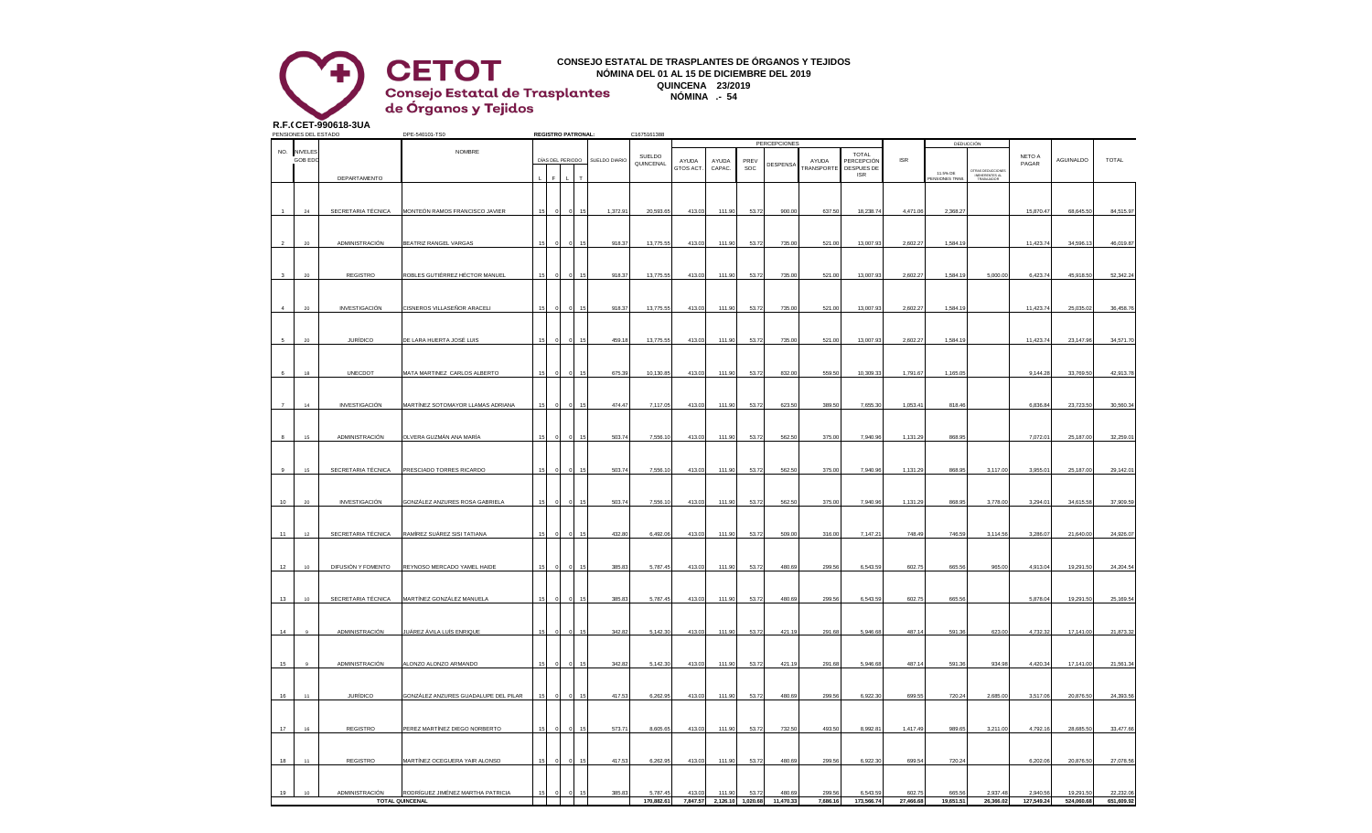## **CONSEJO ESTATAL DE TRASPLANTES DE ÓRGANOS Y TEJIDOS NÓMINA DEL 01 AL 15 DE DICIEMBRE DEL 2019 QUINCENA 23/2019 Consejo Estatal de Trasplantes<br>de Órganos y Tejidos NÓMINA .- 54**

**R.F.C.CET-990618-3UA**

**CETOT** 

|                       | PENSIONES DEL ESTADO |                      | DPE-540101-TS0                                    |    | <b>REGISTRO PATRONAL:</b> |  |               | C1675161388 |          |          |             |                     |            |                            |                |                      |                                                  |            |            |              |
|-----------------------|----------------------|----------------------|---------------------------------------------------|----|---------------------------|--|---------------|-------------|----------|----------|-------------|---------------------|------------|----------------------------|----------------|----------------------|--------------------------------------------------|------------|------------|--------------|
| NO.<br><b>NIVELES</b> |                      |                      | <b>NOMBRE</b>                                     |    |                           |  |               |             |          |          |             | <b>PERCEPCIONES</b> |            |                            |                |                      | DEDUCCIÓN                                        |            |            |              |
|                       | GOB ED               |                      |                                                   |    | DÍAS DEL PERIODO          |  | SUELDO DIARIO | SUELDO      | AYUDA    | AYUDA    | <b>PRFV</b> |                     | AYUDA      | <b>TOTAL</b><br>PERCEPCIÓN | $\textsf{ISR}$ |                      |                                                  | NETO A     | AGUINALDO  | <b>TOTAL</b> |
|                       |                      |                      |                                                   |    |                           |  |               | QUINCENAL   | GTOS ACT | CAPAC    | <b>SOC</b>  | DESPENSA            | TRANSPORTE | DESPUES DE                 |                | 11.5% DE             |                                                  | PAGAR      |            |              |
|                       |                      | DEPARTAMENTO         |                                                   |    |                           |  |               |             |          |          |             |                     |            | <b>ISR</b>                 |                | <b>ENSIONES TRAB</b> | OTRAS DEDUCCIONE<br>INEHERENTES AL<br>TRABAJADOR |            |            |              |
|                       |                      |                      |                                                   |    |                           |  |               |             |          |          |             |                     |            |                            |                |                      |                                                  |            |            |              |
|                       |                      |                      |                                                   |    |                           |  |               |             |          |          |             |                     |            |                            |                |                      |                                                  |            |            |              |
|                       | 24                   |                      | SECRETARIA TÉCNICA MONTEÓN RAMOS FRANCISCO JAVIER | 15 |                           |  | 1,372.91      | 20,593.65   | 413.03   | 111.90   | 53.72       | 900.00              | 637.50     | 18,238.74                  | 4,471.06       | 2,368.27             |                                                  | 15,870.47  | 68,645.5   | 84,515.97    |
|                       |                      |                      |                                                   |    |                           |  |               |             |          |          |             |                     |            |                            |                |                      |                                                  |            |            |              |
|                       |                      |                      |                                                   |    |                           |  |               |             |          |          |             |                     |            |                            |                |                      |                                                  |            |            |              |
| 2                     | $20\,$               | ADMINISTRACIÓN       | BEATRIZ RANGEL VARGAS                             | 15 |                           |  | 918.37        | 13,775.55   | 413.03   | 111.90   | 53.72       | 735.00              | 521.00     | 13,007.93                  | 2,602.27       | 1,584.19             |                                                  | 11,423.74  | 34,596.1   | 46,019.87    |
|                       |                      |                      |                                                   |    |                           |  |               |             |          |          |             |                     |            |                            |                |                      |                                                  |            |            |              |
|                       | 20                   | REGISTRO             | ROBLES GUTIÉRREZ HÉCTOR MANUEL                    |    |                           |  | 918.37        | 13,775.55   | 413.03   | 111.90   | 53.72       | 735.00              | 521.00     | 13,007.93                  | 2,602.27       | 1,584.19             | 5,000.00                                         | 6,423.74   | 45,918.50  | 52,342.24    |
|                       |                      |                      |                                                   |    |                           |  |               |             |          |          |             |                     |            |                            |                |                      |                                                  |            |            |              |
|                       |                      |                      |                                                   |    |                           |  |               |             |          |          |             |                     |            |                            |                |                      |                                                  |            |            |              |
|                       | 20                   | <b>INVESTIGACIÓN</b> | CISNEROS VILLASEÑOR ARACELI                       |    |                           |  | 918.37        | 13,775.55   | 413.03   | 111.90   | 53.72       | 735.00              | 521.00     | 13,007.93                  | 2.602.2        | 1,584.19             |                                                  | 11,423.74  | 25.035.02  | 36,458.76    |
|                       |                      |                      |                                                   |    |                           |  |               |             |          |          |             |                     |            |                            |                |                      |                                                  |            |            |              |
|                       |                      |                      |                                                   |    |                           |  |               |             |          |          |             |                     |            |                            |                |                      |                                                  |            |            |              |
| 5                     | 20                   | <b>JURÍDICO</b>      | DE LARA HUERTA JOSÉ LUIS                          | 15 |                           |  | 459.18        | 13,775.55   | 413.03   | 111.90   | 53.72       | 735.00              | 521.00     | 13,007.9                   | 2,602.2        | 1,584.19             |                                                  | 11,423.7   | 23,147.9   | 34,571.7     |
|                       |                      |                      |                                                   |    |                           |  |               |             |          |          |             |                     |            |                            |                |                      |                                                  |            |            |              |
|                       |                      |                      |                                                   |    |                           |  |               |             |          |          |             |                     |            |                            |                |                      |                                                  |            |            |              |
|                       | 18                   | UNECDOT              | MATA MARTINEZ CARLOS ALBERTO                      |    |                           |  | 675.39        | 10,130.85   | 413.03   | 111.90   | 53.72       | 832.00              | 559.50     | 10,309.33                  | 1,791.67       | 1,165.05             |                                                  | 9,144.28   | 33,769.5   | 42,913.78    |
|                       |                      |                      |                                                   |    |                           |  |               |             |          |          |             |                     |            |                            |                |                      |                                                  |            |            |              |
|                       |                      |                      |                                                   |    |                           |  |               |             |          |          |             |                     |            |                            |                |                      |                                                  |            |            |              |
|                       | 14                   | <b>INVESTIGACIÓN</b> | MARTÍNEZ SOTOMAYOR LLAMAS ADRIANA                 |    |                           |  | 474.47        | 7.117.05    | 413.03   | 111.90   | 53.72       | 623.50              | 389.50     | 7,655.30                   | 1,053.4        | 818.46               |                                                  | 6.836.84   | 23,723.5   | 30,560.34    |
|                       |                      |                      |                                                   |    |                           |  |               |             |          |          |             |                     |            |                            |                |                      |                                                  |            |            |              |
|                       |                      |                      |                                                   |    |                           |  |               |             |          |          |             |                     |            |                            |                |                      |                                                  |            |            |              |
| 8                     | $15\,$               | ADMINISTRACIÓN       | OLVERA GUZMÁN ANA MARÍA                           | 15 |                           |  | 503.7         | 7,556.10    | 413.03   | 111.90   | 53.72       | 562.50              | 375.00     | 7,940.96                   | 1,131.29       | 868.95               |                                                  | 7,072.01   | 25,187.00  | 32,259.01    |
|                       |                      |                      |                                                   |    |                           |  |               |             |          |          |             |                     |            |                            |                |                      |                                                  |            |            |              |
|                       |                      |                      |                                                   |    |                           |  |               |             |          |          |             |                     |            |                            |                |                      |                                                  |            |            |              |
| $_{9}$                | 15                   | SECRETARIA TÉCNICA   | PRESCIADO TORRES RICARDO                          |    |                           |  | 503.74        | 7,556.10    | 413.03   | 111.90   | 53.72       | 562.50              | 375.00     | 7,940.96                   | 1,131.29       | 868.95               | 3,117.00                                         | 3,955.01   | 25,187.00  | 29,142.01    |
|                       |                      |                      |                                                   |    |                           |  |               |             |          |          |             |                     |            |                            |                |                      |                                                  |            |            |              |
| 10                    | 20                   |                      |                                                   |    |                           |  | 503.74        | 7,556.10    | 413.03   | 111.90   | 53.72       | 562.50              | 375.00     |                            | 1,131.29       | 868.95               | 3,778.00                                         | 3,294.01   | 34,615.58  | 37,909.59    |
|                       |                      | INVESTIGACIÓN        | GONZÁLEZ ANZURES ROSA GABRIELA                    | 15 |                           |  |               |             |          |          |             |                     |            | 7,940.96                   |                |                      |                                                  |            |            |              |
|                       |                      |                      |                                                   |    |                           |  |               |             |          |          |             |                     |            |                            |                |                      |                                                  |            |            |              |
| 11                    | 12                   | SECRETARIA TÉCNICA   | RAMÍREZ SUÁREZ SISI TATIANA                       |    |                           |  | 432.80        | 6,492.06    | 413.0    | 111.90   | 53.72       | 509.00              | 316.00     | 7,147.2                    | 748.49         | 746.59               | 3,114.56                                         | 3,286.07   | 21,640.0   | 24,926.07    |
|                       |                      |                      |                                                   |    |                           |  |               |             |          |          |             |                     |            |                            |                |                      |                                                  |            |            |              |
|                       |                      |                      |                                                   |    |                           |  |               |             |          |          |             |                     |            |                            |                |                      |                                                  |            |            |              |
| 12                    | 10                   | DIFUSIÓN Y FOMENTO   | REYNOSO MERCADO YAMEL HAIDE                       |    |                           |  | 385.8         | 5,787.45    | 413.0    | 111.9    | 53.72       | 480.6               | 299.56     | 6,543.5                    | 602.7          | 665.5                | 965.00                                           | 4,913.04   | 19,291.5   | 24,204.5     |
|                       |                      |                      |                                                   |    |                           |  |               |             |          |          |             |                     |            |                            |                |                      |                                                  |            |            |              |
|                       |                      |                      |                                                   |    |                           |  |               |             |          |          |             |                     |            |                            |                |                      |                                                  |            |            |              |
| 13                    | 10                   | SECRETARIA TÉCNICA   | MARTÍNEZ GONZÁLEZ MANUELA                         |    |                           |  | 385.83        | 5.787.45    | 413.03   | 111.90   | 53.72       | 480.69              | 299.56     | 6,543.59                   | 602.75         | 665.56               |                                                  | 5.878.04   | 19,291.50  | 25,169.54    |
|                       |                      |                      |                                                   |    |                           |  |               |             |          |          |             |                     |            |                            |                |                      |                                                  |            |            |              |
|                       |                      |                      |                                                   |    |                           |  |               |             |          |          |             |                     |            |                            |                |                      |                                                  |            |            |              |
| 14                    |                      | ADMINISTRACIÓN       | JUÁREZ ÁVILA LUÍS ENRIQUE                         | 15 |                           |  | 342.82        | 5,142.30    | 413.03   | 111.90   | 53.72       | 421.19              | 291.68     | 5,946.68                   | 487.14         | 591.36               | 623.00                                           | 4,732.3    | 17,141.00  | 21,873.32    |
|                       |                      |                      |                                                   |    |                           |  |               |             |          |          |             |                     |            |                            |                |                      |                                                  |            |            |              |
|                       |                      |                      |                                                   |    |                           |  |               |             |          |          |             |                     |            |                            |                |                      |                                                  |            |            |              |
| 15                    |                      | ADMINISTRACIÓN       | ALONZO ALONZO ARMANDO                             | 15 |                           |  | 342.82        | 5,142.30    | 413.03   | 111.90   | 53.72       | 421.19              | 291.68     | 5,946.68                   | 487.14         | 591.36               | 934.98                                           | 4,420.34   | 17,141.0   | 21,561.34    |
|                       |                      |                      |                                                   |    |                           |  |               |             |          |          |             |                     |            |                            |                |                      |                                                  |            |            |              |
|                       |                      |                      |                                                   |    |                           |  |               |             |          |          |             |                     |            |                            |                |                      |                                                  |            |            |              |
| 16                    | 11                   | <b>JURÍDICO</b>      | GONZÁLEZ ANZURES GUADALUPE DEL PILAR              |    |                           |  | 417.53        | 6,262.95    | 413.03   | 111.90   | 53.72       | 480.69              | 299.56     | 6,922.30                   | 699.55         | 720.24               | 2,685.00                                         | 3,517.06   | 20,876.50  | 24,393.56    |
|                       |                      |                      |                                                   |    |                           |  |               |             |          |          |             |                     |            |                            |                |                      |                                                  |            |            |              |
|                       |                      |                      |                                                   |    |                           |  |               |             |          |          |             |                     |            |                            |                |                      |                                                  |            |            |              |
| 17                    | 16                   | REGISTRO             | PEREZ MARTÍNEZ DIEGO NORBERTO                     |    |                           |  | 573.71        | 8,605.65    | 413.0    | 111.90   | 53.72       | 732.50              | 493.50     | 8.992.8                    | 1.417.49       | 989.65               | 3,211.00                                         | 4.792.16   | 28,685.50  | 33,477.66    |
|                       |                      |                      |                                                   |    |                           |  |               |             |          |          |             |                     |            |                            |                |                      |                                                  |            |            |              |
|                       |                      |                      |                                                   |    |                           |  |               |             |          |          |             |                     |            |                            |                |                      |                                                  |            |            |              |
| 18                    | 11                   | REGISTRO             | MARTÍNEZ OCEGUERA YAIR ALONSO                     | 15 |                           |  | 417.53        | 6,262.95    | 413.03   | 111.90   | 53.72       | 480.69              | 299.56     | 6,922.30                   | 699.5          | 720.24               |                                                  | 6,202.06   | 20,876.5   | 27,078.56    |
|                       |                      |                      |                                                   |    |                           |  |               |             |          |          |             |                     |            |                            |                |                      |                                                  |            |            |              |
| 19                    | $10$                 | ADMINISTRACIÓN       | RODRÍGUEZ JIMÉNEZ MARTHA PATRICIA                 |    |                           |  | 385.83        | 5,787.4     | 413.0    | 111.9    | 53.7        | 480.69              | 299.56     | 6.543.5                    | 602.7          | 665.56               | 2.937.48                                         | 2.940.5    | 19,291.5   | 22,232.06    |
|                       |                      |                      | <b>TOTAL QUINCENAL</b>                            |    |                           |  |               | 170,882.61  | 7,847.57 | 2,126.10 | 1,020.68    | 11,470.33           | 7,686.16   | 173,566.74                 | 27,466.68      | 19,651.51            | 26,366.02                                        | 127,549.24 | 524.060.68 | 651,609.92   |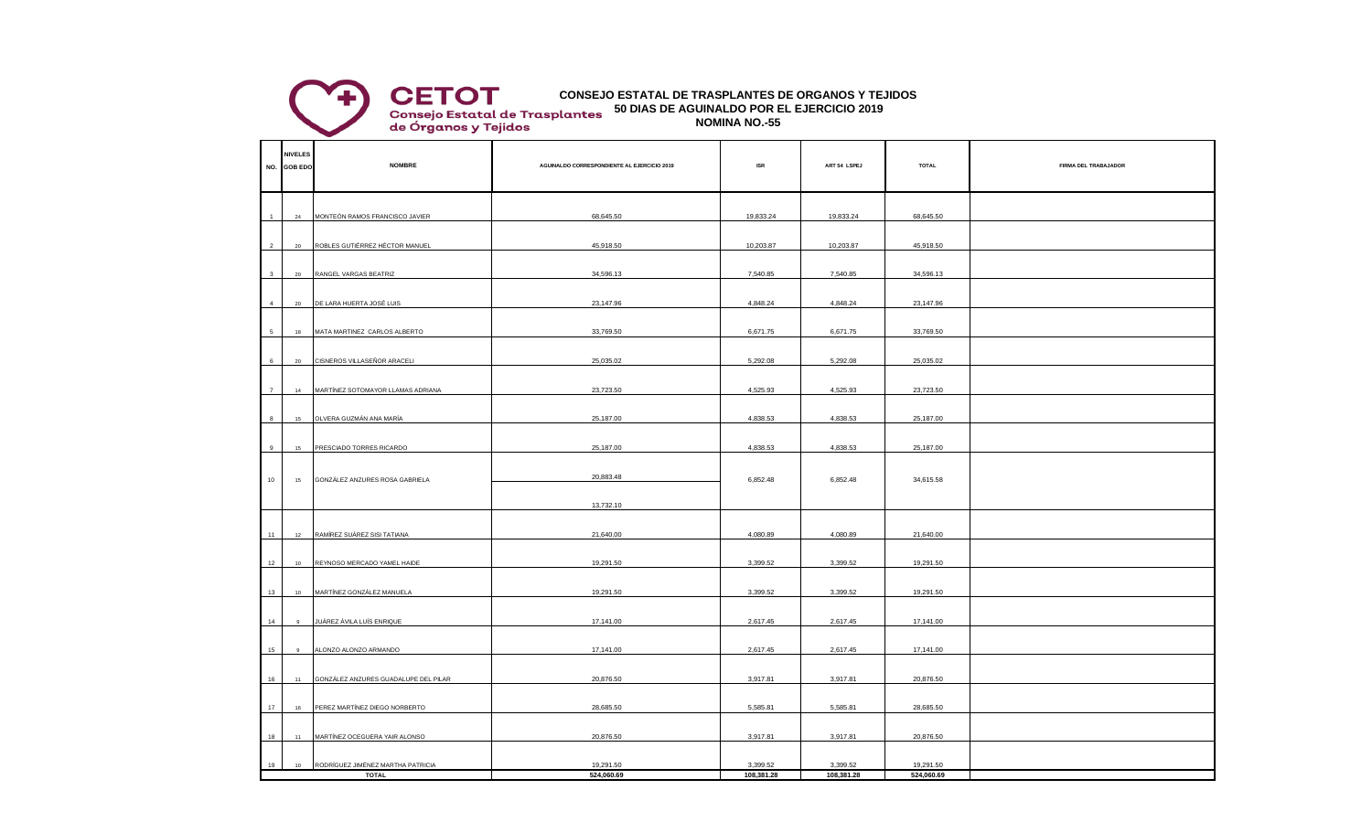## **50 DIAS DE AGUINALDO POR EL EJERCICIO 2019 CONSEJO ESTATAL DE TRASPLANTES DE ORGANOS Y TEJIDOS**

**Consejo Estatal de Trasplantes<br>de Órganos y Tejidos** 

**CETOT** 

**NOMINA NO.-55**

|                | <b>NIVELES</b><br>NO. GOB EDO | <b>NOMBRE</b>                        | AGUINALDO CORRESPONDIENTE AL EJERCICIO 2019 | $\sf{ISR}$ | ART 54 LSPEJ | <b>TOTAL</b> | FIRMA DEL TRABAJADOR |  |  |
|----------------|-------------------------------|--------------------------------------|---------------------------------------------|------------|--------------|--------------|----------------------|--|--|
|                |                               |                                      |                                             |            |              |              |                      |  |  |
|                |                               |                                      |                                             |            |              |              |                      |  |  |
|                | $\bf 24$                      | MONTEÓN RAMOS FRANCISCO JAVIER       | 68,645.50                                   | 19,833.24  | 19,833.24    | 68,645.50    |                      |  |  |
|                |                               |                                      |                                             |            |              |              |                      |  |  |
| $\overline{2}$ | 20                            | ROBLES GUTIÉRREZ HÉCTOR MANUEL       | 45,918.50                                   | 10,203.87  | 10,203.87    | 45,918.50    |                      |  |  |
|                |                               |                                      |                                             |            |              |              |                      |  |  |
| $\mathbf{3}$   | 20                            | RANGEL VARGAS BEATRIZ                | 34,596.13                                   | 7,540.85   | 7,540.85     | 34,596.13    |                      |  |  |
|                |                               |                                      |                                             |            |              |              |                      |  |  |
| $\overline{4}$ | 20                            | DE LARA HUERTA JOSÉ LUIS             | 23,147.96                                   | 4,848.24   | 4,848.24     | 23,147.96    |                      |  |  |
|                |                               |                                      |                                             |            |              |              |                      |  |  |
| 5              | 18                            | MATA MARTINEZ CARLOS ALBERTO         | 33,769.50                                   | 6,671.75   | 6,671.75     | 33,769.50    |                      |  |  |
|                |                               |                                      |                                             |            |              |              |                      |  |  |
| 6              | 20                            | CISNEROS VILLASEÑOR ARACELI          | 25,035.02                                   | 5,292.08   | 5,292.08     | 25,035.02    |                      |  |  |
|                |                               |                                      |                                             |            |              |              |                      |  |  |
| $\overline{7}$ | 14                            | MARTÍNEZ SOTOMAYOR LLAMAS ADRIANA    | 23,723.50                                   | 4,525.93   | 4,525.93     | 23,723.50    |                      |  |  |
|                |                               |                                      |                                             |            |              |              |                      |  |  |
| $\mathbf{a}$   | 15                            | OLVERA GUZMÁN ANA MARÍA              | 25,187.00                                   | 4,838.53   | 4,838.53     | 25,187.00    |                      |  |  |
|                |                               |                                      |                                             |            |              |              |                      |  |  |
| 9              | 15                            | PRESCIADO TORRES RICARDO             | 25,187.00                                   | 4,838.53   | 4,838.53     | 25,187.00    |                      |  |  |
|                |                               |                                      |                                             |            |              |              |                      |  |  |
|                | 15                            |                                      | 20,883.48                                   |            |              |              |                      |  |  |
| 10             |                               | GONZÁLEZ ANZURES ROSA GABRIELA       |                                             | 6,852.48   | 6,852.48     | 34,615.58    |                      |  |  |
|                |                               |                                      | 13,732.10                                   |            |              |              |                      |  |  |
|                |                               |                                      |                                             |            |              |              |                      |  |  |
| 11             | 12                            | RAMÍREZ SUÁREZ SISI TATIANA          | 21,640.00                                   | 4,080.89   | 4,080.89     | 21,640.00    |                      |  |  |
|                |                               |                                      |                                             |            |              |              |                      |  |  |
| 12             | 10                            | REYNOSO MERCADO YAMEL HAIDE          | 19,291.50                                   | 3,399.52   | 3,399.52     | 19,291.50    |                      |  |  |
|                |                               |                                      |                                             |            |              |              |                      |  |  |
| 13             | 10                            | MARTÍNEZ GONZÁLEZ MANUELA            | 19,291.50                                   | 3,399.52   | 3,399.52     | 19,291.50    |                      |  |  |
|                |                               |                                      |                                             |            |              |              |                      |  |  |
| 14             | 9                             | JUÁREZ ÁVILA LUÍS ENRIQUE            | 17,141.00                                   | 2,617.45   | 2,617.45     | 17,141.00    |                      |  |  |
|                |                               |                                      |                                             |            |              |              |                      |  |  |
| 15             | $\mathbf{q}$                  | ALONZO ALONZO ARMANDO                | 17,141.00                                   | 2,617.45   | 2,617.45     | 17,141.00    |                      |  |  |
|                |                               |                                      |                                             |            |              |              |                      |  |  |
| 16             | $11 -$                        | GONZÁLEZ ANZURES GUADALUPE DEL PILAR | 20,876.50                                   | 3,917.81   | 3,917.81     | 20,876.50    |                      |  |  |
|                |                               |                                      |                                             |            |              |              |                      |  |  |
| 17             |                               | 16 PEREZ MARTÍNEZ DIEGO NORBERTO     | 28,685.50                                   | 5,585.81   | 5,585.81     | 28,685.50    |                      |  |  |
|                |                               |                                      |                                             |            |              |              |                      |  |  |
| 18             | 11                            | MARTÍNEZ OCEGUERA YAIR ALONSO        | 20,876.50                                   | 3,917.81   | 3,917.81     | 20,876.50    |                      |  |  |
|                |                               |                                      |                                             |            |              |              |                      |  |  |
| 19             | 10                            | RODRÍGUEZ JIMÉNEZ MARTHA PATRICIA    | 19,291.50                                   | 3,399.52   | 3,399.52     | 19,291.50    |                      |  |  |
|                | <b>TOTAL</b>                  |                                      | 524,060.69                                  | 108,381.28 | 108,381.28   | 524,060.69   |                      |  |  |